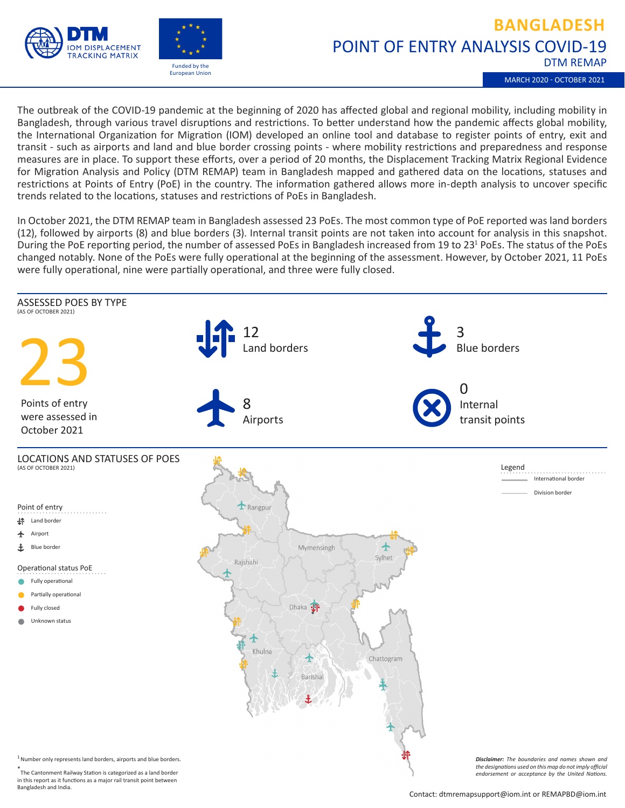



## POINT OF ENTRY ANALYSIS COVID-19 DTM REMAP **BANGLADESH**

MARCH 2020 - OCTOBER 2021

The outbreak of the COVID-19 pandemic at the beginning of 2020 has affected global and regional mobility, including mobility in Bangladesh, through various travel disruptions and restrictions. To better understand how the pandemic affects global mobility, the International Organization for Migration (IOM) developed an online tool and database to register points of entry, exit and transit - such as airports and land and blue border crossing points - where mobility restrictions and preparedness and response measures are in place. To support these efforts, over a period of 20 months, the Displacement Tracking Matrix Regional Evidence for Migration Analysis and Policy (DTM REMAP) team in Bangladesh mapped and gathered data on the locations, statuses and restrictions at Points of Entry (PoE) in the country. The information gathered allows more in-depth analysis to uncover specific trends related to the locations, statuses and restrictions of PoEs in Bangladesh.

In October 2021, the DTM REMAP team in Bangladesh assessed 23 PoEs. The most common type of PoE reported was land borders (12), followed by airports (8) and blue borders (3). Internal transit points are not taken into account for analysis in this snapshot. During the PoE reporting period, the number of assessed PoEs in Bangladesh increased from 19 to 23<sup>1</sup> PoEs. The status of the PoEs changed notably. None of the PoEs were fully operational at the beginning of the assessment. However, by October 2021, 11 PoEs were fully operational, nine were partially operational, and three were fully closed.



in this report as it functions as a major rail transit point between Bangladesh and India.

Contact: dtmremapsupport@iom.int or REMAPBD@iom.int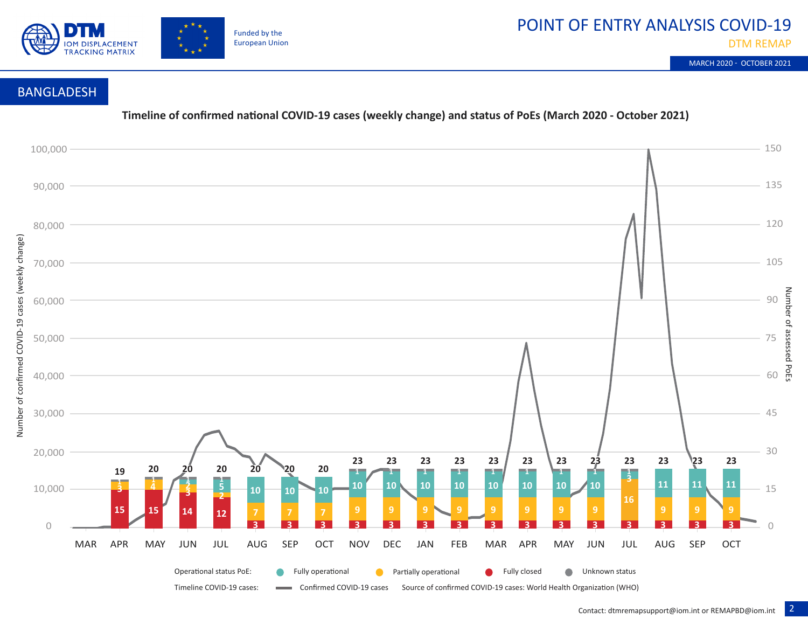

DTM REMAP

MARCH 2020 - OCTOBER 2021

## BANGLADESH

**Timeline of confirmed national COVID-19 cases (weekly change) and status of PoEs (March 2020 - October 2021)**